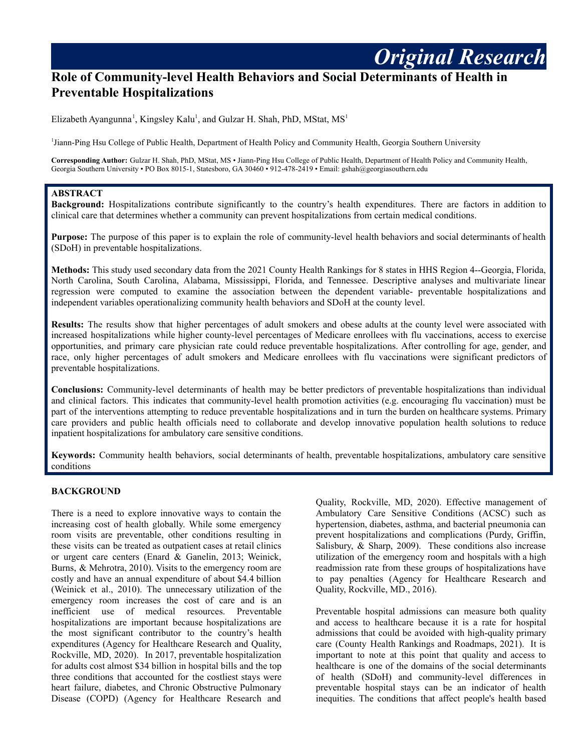# **Role of Community-level Health Behaviors and Social Determinants of Health in Preventable Hospitalizations**

Elizabeth Ayangunna<sup>1</sup>, Kingsley Kalu<sup>1</sup>, and Gulzar H. Shah, PhD, MStat, MS<sup>1</sup>

<sup>1</sup>Jiann-Ping Hsu College of Public Health, Department of Health Policy and Community Health, Georgia Southern University

**Corresponding Author:** Gulzar H. Shah, PhD, MStat, MS • Jiann-Ping Hsu College of Public Health, Department of Health Policy and Community Health, Georgia Southern University • PO Box 8015-1, Statesboro, GA 30460 • 912-478-2419 • Email: gshah@georgiasouthern.edu

#### **ABSTRACT**

**Background:** Hospitalizations contribute significantly to the country's health expenditures. There are factors in addition to clinical care that determines whether a community can prevent hospitalizations from certain medical conditions.

**Purpose:** The purpose of this paper is to explain the role of community-level health behaviors and social determinants of health (SDoH) in preventable hospitalizations.

**Methods:** This study used secondary data from the 2021 County Health Rankings for 8 states in HHS Region 4--Georgia, Florida, North Carolina, South Carolina, Alabama, Mississippi, Florida, and Tennessee. Descriptive analyses and multivariate linear regression were computed to examine the association between the dependent variable- preventable hospitalizations and independent variables operationalizing community health behaviors and SDoH at the county level.

**Results:** The results show that higher percentages of adult smokers and obese adults at the county level were associated with increased hospitalizations while higher county-level percentages of Medicare enrollees with flu vaccinations, access to exercise opportunities, and primary care physician rate could reduce preventable hospitalizations. After controlling for age, gender, and race, only higher percentages of adult smokers and Medicare enrollees with flu vaccinations were significant predictors of preventable hospitalizations.

**Conclusions:** Community-level determinants of health may be better predictors of preventable hospitalizations than individual and clinical factors. This indicates that community-level health promotion activities (e.g. encouraging flu vaccination) must be part of the interventions attempting to reduce preventable hospitalizations and in turn the burden on healthcare systems. Primary care providers and public health officials need to collaborate and develop innovative population health solutions to reduce inpatient hospitalizations for ambulatory care sensitive conditions.

**Keywords:** Community health behaviors, social determinants of health, preventable hospitalizations, ambulatory care sensitive conditions

#### **BACKGROUND**

There is a need to explore innovative ways to contain the increasing cost of health globally. While some emergency room visits are preventable, other conditions resulting in these visits can be treated as outpatient cases at retail clinics or urgent care centers (Enard & Ganelin, 2013; Weinick, Burns, & Mehrotra, 2010). Visits to the emergency room are costly and have an annual expenditure of about \$4.4 billion (Weinick et al., 2010). The unnecessary utilization of the emergency room increases the cost of care and is an inefficient use of medical resources. Preventable hospitalizations are important because hospitalizations are the most significant contributor to the country's health expenditures (Agency for Healthcare Research and Quality, Rockville, MD, 2020). In 2017, preventable hospitalization for adults cost almost \$34 billion in hospital bills and the top three conditions that accounted for the costliest stays were heart failure, diabetes, and Chronic Obstructive Pulmonary Disease (COPD) (Agency for Healthcare Research and

Quality, Rockville, MD, 2020). Effective management of Ambulatory Care Sensitive Conditions (ACSC) such as hypertension, diabetes, asthma, and bacterial pneumonia can prevent hospitalizations and complications (Purdy, Griffin, Salisbury, & Sharp, 2009). These conditions also increase utilization of the emergency room and hospitals with a high readmission rate from these groups of hospitalizations have to pay penalties (Agency for Healthcare Research and Quality, Rockville, MD., 2016).

*Original Research*

Preventable hospital admissions can measure both quality and access to healthcare because it is a rate for hospital admissions that could be avoided with high-quality primary care (County Health Rankings and Roadmaps, 2021). It is important to note at this point that quality and access to healthcare is one of the domains of the social determinants of health (SDoH) and community-level differences in preventable hospital stays can be an indicator of health inequities. The conditions that affect people's health based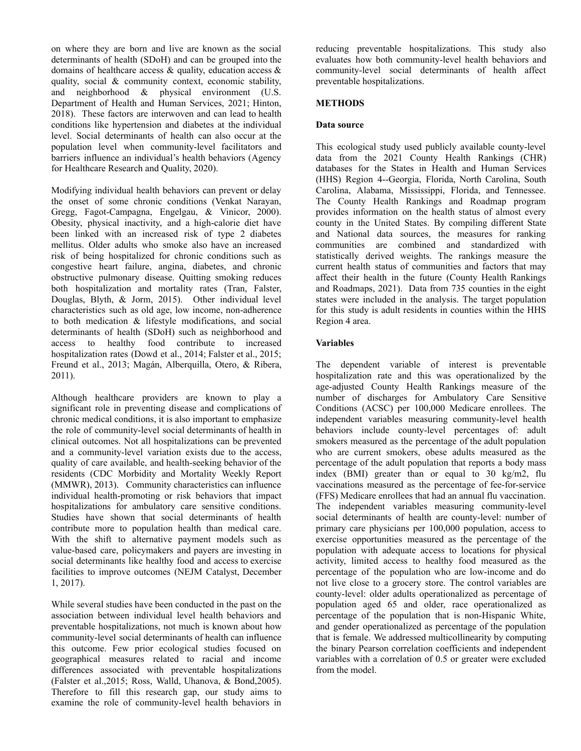on where they are born and live are known as the social determinants of health (SDoH) and can be grouped into the domains of healthcare access  $\&$  quality, education access  $\&$ quality, social & community context, economic stability, and neighborhood & physical environment (U.S. Department of Health and Human Services, 2021; Hinton, 2018). These factors are interwoven and can lead to health conditions like hypertension and diabetes at the individual level. Social determinants of health can also occur at the population level when community-level facilitators and barriers influence an individual's health behaviors (Agency for Healthcare Research and Quality, 2020).

Modifying individual health behaviors can prevent or delay the onset of some chronic conditions (Venkat Narayan, Gregg, Fagot-Campagna, Engelgau, & Vinicor, 2000). Obesity, physical inactivity, and a high-calorie diet have been linked with an increased risk of type 2 diabetes mellitus. Older adults who smoke also have an increased risk of being hospitalized for chronic conditions such as congestive heart failure, angina, diabetes, and chronic obstructive pulmonary disease. Quitting smoking reduces both hospitalization and mortality rates (Tran, Falster, Douglas, Blyth, & Jorm, 2015). Other individual level characteristics such as old age, low income, non-adherence to both medication & lifestyle modifications, and social determinants of health (SDoH) such as neighborhood and access to healthy food contribute to increased hospitalization rates (Dowd et al., 2014; Falster et al., 2015; Freund et al., 2013; Magán, Alberquilla, Otero, & Ribera, 2011).

Although healthcare providers are known to play a significant role in preventing disease and complications of chronic medical conditions, it is also important to emphasize the role of community-level social determinants of health in clinical outcomes. Not all hospitalizations can be prevented and a community-level variation exists due to the access, quality of care available, and health-seeking behavior of the residents (CDC Morbidity and Mortality Weekly Report (MMWR), 2013). Community characteristics can influence individual health-promoting or risk behaviors that impact hospitalizations for ambulatory care sensitive conditions. Studies have shown that social determinants of health contribute more to population health than medical care. With the shift to alternative payment models such as value-based care, policymakers and payers are investing in social determinants like healthy food and access to exercise facilities to improve outcomes (NEJM Catalyst, December 1, 2017).

While several studies have been conducted in the past on the association between individual level health behaviors and preventable hospitalizations, not much is known about how community-level social determinants of health can influence this outcome. Few prior ecological studies focused on geographical measures related to racial and income differences associated with preventable hospitalizations (Falster et al.,2015; Ross, Walld, Uhanova, & Bond,2005). Therefore to fill this research gap, our study aims to examine the role of community-level health behaviors in

reducing preventable hospitalizations. This study also evaluates how both community-level health behaviors and community-level social determinants of health affect preventable hospitalizations.

## **METHODS**

## **Data source**

This ecological study used publicly available county-level data from the 2021 County Health Rankings (CHR) databases for the States in Health and Human Services (HHS) Region 4--Georgia, Florida, North Carolina, South Carolina, Alabama, Mississippi, Florida, and Tennessee. The County Health Rankings and Roadmap program provides information on the health status of almost every county in the United States. By compiling different State and National data sources, the measures for ranking communities are combined and standardized with statistically derived weights. The rankings measure the current health status of communities and factors that may affect their health in the future (County Health Rankings and Roadmaps, 2021). Data from 735 counties in the eight states were included in the analysis. The target population for this study is adult residents in counties within the HHS Region 4 area.

## **Variables**

The dependent variable of interest is preventable hospitalization rate and this was operationalized by the age-adjusted County Health Rankings measure of the number of discharges for Ambulatory Care Sensitive Conditions (ACSC) per 100,000 Medicare enrollees. The independent variables measuring community-level health behaviors include county-level percentages of: adult smokers measured as the percentage of the adult population who are current smokers, obese adults measured as the percentage of the adult population that reports a body mass index (BMI) greater than or equal to 30 kg/m2, flu vaccinations measured as the percentage of fee-for-service (FFS) Medicare enrollees that had an annual flu vaccination. The independent variables measuring community-level social determinants of health are county-level: number of primary care physicians per 100,000 population, access to exercise opportunities measured as the percentage of the population with adequate access to locations for physical activity, limited access to healthy food measured as the percentage of the population who are low-income and do not live close to a grocery store. The control variables are county-level: older adults operationalized as percentage of population aged 65 and older, race operationalized as percentage of the population that is non-Hispanic White, and gender operationalized as percentage of the population that is female. We addressed multicollinearity by computing the binary Pearson correlation coefficients and independent variables with a correlation of 0.5 or greater were excluded from the model.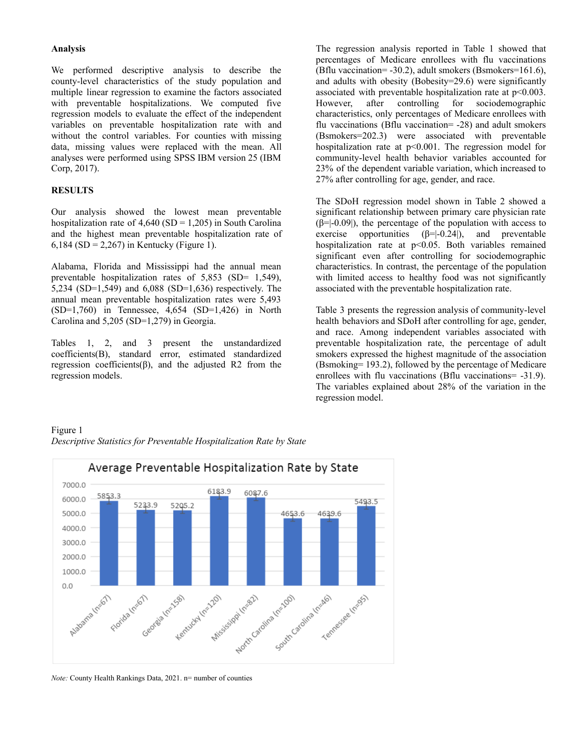### **Analysis**

We performed descriptive analysis to describe the county-level characteristics of the study population and multiple linear regression to examine the factors associated with preventable hospitalizations. We computed five regression models to evaluate the effect of the independent variables on preventable hospitalization rate with and without the control variables. For counties with missing data, missing values were replaced with the mean. All analyses were performed using SPSS IBM version 25 (IBM Corp, 2017).

## **RESULTS**

Our analysis showed the lowest mean preventable hospitalization rate of  $4,640$  (SD = 1,205) in South Carolina and the highest mean preventable hospitalization rate of 6,184 (SD = 2,267) in Kentucky (Figure 1).

Alabama, Florida and Mississippi had the annual mean preventable hospitalization rates of 5,853 (SD= 1,549), 5,234 (SD=1,549) and 6,088 (SD=1,636) respectively. The annual mean preventable hospitalization rates were 5,493 (SD=1,760) in Tennessee, 4,654 (SD=1,426) in North Carolina and 5,205 (SD=1,279) in Georgia.

Tables 1, 2, and 3 present the unstandardized coefficients(B), standard error, estimated standardized regression coefficients(β), and the adjusted R2 from the regression models.

The regression analysis reported in Table 1 showed that percentages of Medicare enrollees with flu vaccinations (Bflu vaccination= -30.2), adult smokers (Bsmokers=161.6), and adults with obesity (Bobesity=29.6) were significantly associated with preventable hospitalization rate at  $p<0.003$ . However, after controlling for sociodemographic characteristics, only percentages of Medicare enrollees with flu vaccinations (Bflu vaccination= -28) and adult smokers (Bsmokers=202.3) were associated with preventable hospitalization rate at  $p<0.001$ . The regression model for community-level health behavior variables accounted for 23% of the dependent variable variation, which increased to 27% after controlling for age, gender, and race.

The SDoH regression model shown in Table 2 showed a significant relationship between primary care physician rate  $(\beta=|-0.09)$ , the percentage of the population with access to exercise opportunities  $(\beta=|-0.24|)$ , and preventable hospitalization rate at p<0.05. Both variables remained significant even after controlling for sociodemographic characteristics. In contrast, the percentage of the population with limited access to healthy food was not significantly associated with the preventable hospitalization rate.

Table 3 presents the regression analysis of community-level health behaviors and SDoH after controlling for age, gender, and race. Among independent variables associated with preventable hospitalization rate, the percentage of adult smokers expressed the highest magnitude of the association (Bsmoking= 193.2), followed by the percentage of Medicare enrollees with flu vaccinations (Bflu vaccinations= -31.9). The variables explained about 28% of the variation in the regression model.

## Figure 1 *Descriptive Statistics for Preventable Hospitalization Rate by State*



*Note:* County Health Rankings Data, 2021. n= number of counties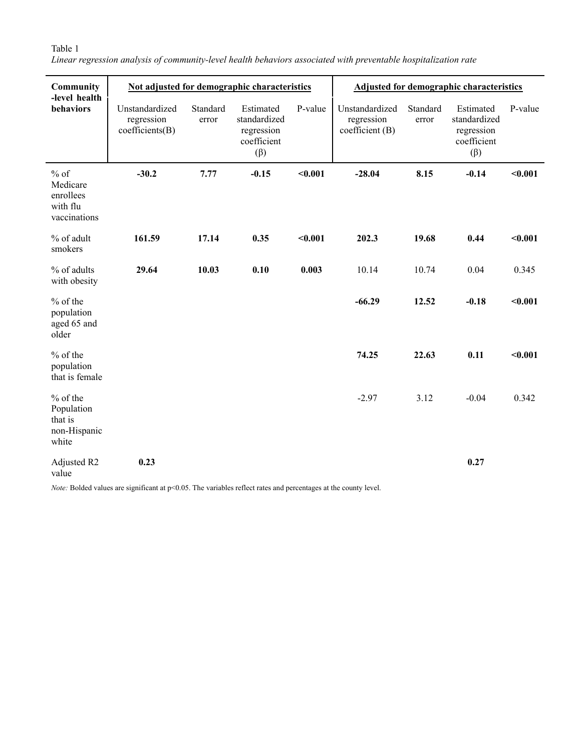# Table 1

*Linear regression analysis of community-level health behaviors associated with preventable hospitalization rate*

| Community<br>-level health<br>behaviors                      | Not adjusted for demographic characteristics    |                   |                                                                     |         | <b>Adjusted for demographic characteristics</b> |                   |                                                                     |         |
|--------------------------------------------------------------|-------------------------------------------------|-------------------|---------------------------------------------------------------------|---------|-------------------------------------------------|-------------------|---------------------------------------------------------------------|---------|
|                                                              | Unstandardized<br>regression<br>coefficients(B) | Standard<br>error | Estimated<br>standardized<br>regression<br>coefficient<br>$(\beta)$ | P-value | Unstandardized<br>regression<br>coefficient (B) | Standard<br>error | Estimated<br>standardized<br>regression<br>coefficient<br>$(\beta)$ | P-value |
| $%$ of<br>Medicare<br>enrollees<br>with flu<br>vaccinations  | $-30.2$                                         | 7.77              | $-0.15$                                                             | $0.001$ | $-28.04$                                        | 8.15              | $-0.14$                                                             | $0.001$ |
| % of adult<br>smokers                                        | 161.59                                          | 17.14             | 0.35                                                                | $0.001$ | 202.3                                           | 19.68             | 0.44                                                                | < 0.001 |
| % of adults<br>with obesity                                  | 29.64                                           | 10.03             | 0.10                                                                | 0.003   | 10.14                                           | 10.74             | 0.04                                                                | 0.345   |
| $%$ of the<br>population<br>aged 65 and<br>older             |                                                 |                   |                                                                     |         | $-66.29$                                        | 12.52             | $-0.18$                                                             | < 0.001 |
| $%$ of the<br>population<br>that is female                   |                                                 |                   |                                                                     |         | 74.25                                           | 22.63             | 0.11                                                                | $0.001$ |
| $%$ of the<br>Population<br>that is<br>non-Hispanic<br>white |                                                 |                   |                                                                     |         | $-2.97$                                         | 3.12              | $-0.04$                                                             | 0.342   |
| Adjusted R2<br>value                                         | 0.23                                            |                   |                                                                     |         |                                                 |                   | 0.27                                                                |         |

*Note:* Bolded values are significant at p<0.05. The variables reflect rates and percentages at the county level.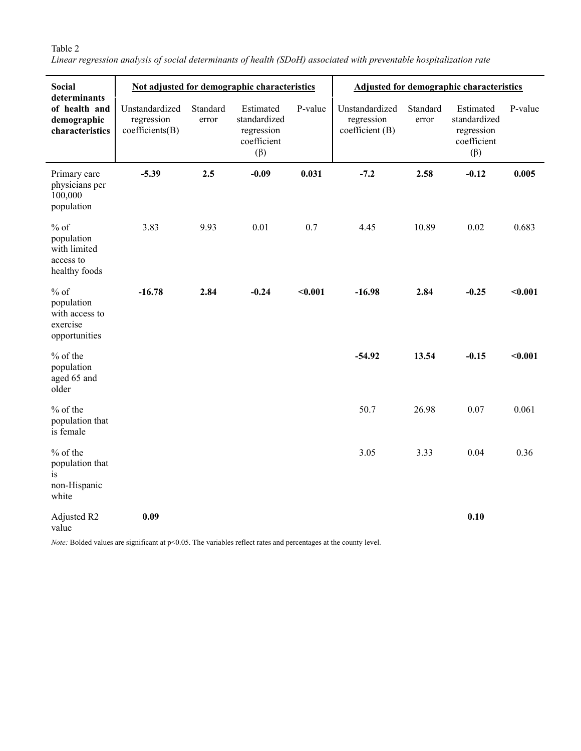# Table 2

*Linear regression analysis of social determinants of health (SDoH) associated with preventable hospitalization rate*

| <b>Social</b><br>determinants<br>of health and<br>demographic<br>characteristics | Not adjusted for demographic characteristics    |                   |                                                                     |         | Adjusted for demographic characteristics        |                   |                                                                     |         |
|----------------------------------------------------------------------------------|-------------------------------------------------|-------------------|---------------------------------------------------------------------|---------|-------------------------------------------------|-------------------|---------------------------------------------------------------------|---------|
|                                                                                  | Unstandardized<br>regression<br>coefficients(B) | Standard<br>error | Estimated<br>standardized<br>regression<br>coefficient<br>$(\beta)$ | P-value | Unstandardized<br>regression<br>coefficient (B) | Standard<br>error | Estimated<br>standardized<br>regression<br>coefficient<br>$(\beta)$ | P-value |
| Primary care<br>physicians per<br>100,000<br>population                          | $-5.39$                                         | 2.5               | $-0.09$                                                             | 0.031   | $-7.2$                                          | 2.58              | $-0.12$                                                             | 0.005   |
| $%$ of<br>population<br>with limited<br>access to<br>healthy foods               | 3.83                                            | 9.93              | 0.01                                                                | 0.7     | 4.45                                            | 10.89             | 0.02                                                                | 0.683   |
| $%$ of<br>population<br>with access to<br>exercise<br>opportunities              | $-16.78$                                        | 2.84              | $-0.24$                                                             | $0.001$ | $-16.98$                                        | 2.84              | $-0.25$                                                             | $0.001$ |
| $%$ of the<br>population<br>aged 65 and<br>older                                 |                                                 |                   |                                                                     |         | $-54.92$                                        | 13.54             | $-0.15$                                                             | < 0.001 |
| $%$ of the<br>population that<br>is female                                       |                                                 |                   |                                                                     |         | 50.7                                            | 26.98             | 0.07                                                                | 0.061   |
| $%$ of the<br>population that<br>is<br>non-Hispanic<br>white                     |                                                 |                   |                                                                     |         | 3.05                                            | 3.33              | 0.04                                                                | 0.36    |
| Adjusted R2<br>value                                                             | 0.09                                            |                   |                                                                     |         |                                                 |                   | 0.10                                                                |         |

*Note:* Bolded values are significant at p<0.05. The variables reflect rates and percentages at the county level.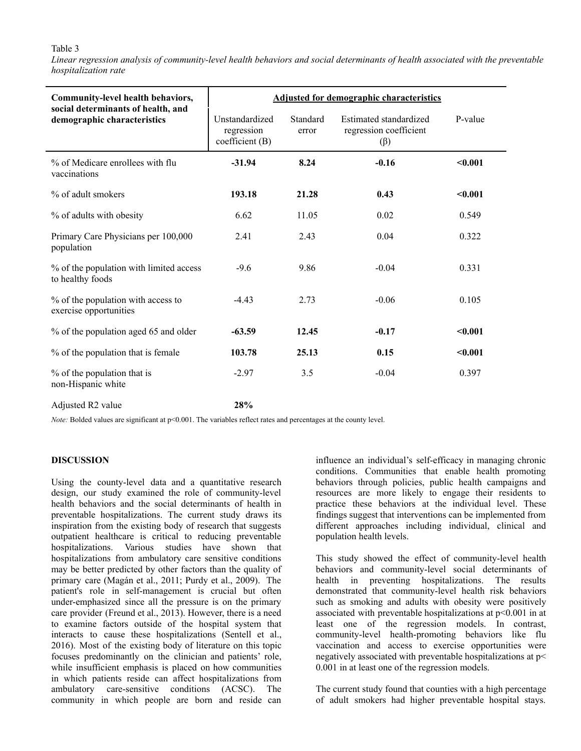### Table 3

Linear regression analysis of community-level health behaviors and social determinants of health associated with the preventable *hospitalization rate*

| Community-level health behaviors,                                 | <b>Adjusted for demographic characteristics</b> |                   |                                                               |         |  |  |  |
|-------------------------------------------------------------------|-------------------------------------------------|-------------------|---------------------------------------------------------------|---------|--|--|--|
| social determinants of health, and<br>demographic characteristics | Unstandardized<br>regression<br>coefficient (B) | Standard<br>error | Estimated standardized<br>regression coefficient<br>$(\beta)$ | P-value |  |  |  |
| % of Medicare enrollees with flu<br>vaccinations                  | $-31.94$                                        | 8.24              | $-0.16$                                                       | < 0.001 |  |  |  |
| % of adult smokers                                                | 193.18                                          | 21.28             | 0.43                                                          | < 0.001 |  |  |  |
| % of adults with obesity                                          | 6.62                                            | 11.05             | 0.02                                                          | 0.549   |  |  |  |
| Primary Care Physicians per 100,000<br>population                 | 2.41                                            | 2.43              | 0.04                                                          | 0.322   |  |  |  |
| % of the population with limited access<br>to healthy foods       | $-9.6$                                          | 9.86              | $-0.04$                                                       | 0.331   |  |  |  |
| % of the population with access to<br>exercise opportunities      | $-4.43$                                         | 2.73              | $-0.06$                                                       | 0.105   |  |  |  |
| % of the population aged 65 and older                             | $-63.59$                                        | 12.45             | $-0.17$                                                       | < 0.001 |  |  |  |
| % of the population that is female                                | 103.78                                          | 25.13             | 0.15                                                          | < 0.001 |  |  |  |
| % of the population that is<br>non-Hispanic white                 | $-2.97$                                         | 3.5               | $-0.04$                                                       | 0.397   |  |  |  |

Adjusted R2 value **28%**

*Note:* Bolded values are significant at p<0.001. The variables reflect rates and percentages at the county level.

#### **DISCUSSION**

Using the county-level data and a quantitative research design, our study examined the role of community-level health behaviors and the social determinants of health in preventable hospitalizations. The current study draws its inspiration from the existing body of research that suggests outpatient healthcare is critical to reducing preventable hospitalizations. Various studies have shown that hospitalizations from ambulatory care sensitive conditions may be better predicted by other factors than the quality of primary care (Magán et al., 2011; Purdy et al., 2009). The patient's role in self-management is crucial but often under-emphasized since all the pressure is on the primary care provider (Freund et al., 2013). However, there is a need to examine factors outside of the hospital system that interacts to cause these hospitalizations (Sentell et al., 2016). Most of the existing body of literature on this topic focuses predominantly on the clinician and patients' role, while insufficient emphasis is placed on how communities in which patients reside can affect hospitalizations from ambulatory care-sensitive conditions (ACSC). The community in which people are born and reside can

influence an individual's self-efficacy in managing chronic conditions. Communities that enable health promoting behaviors through policies, public health campaigns and resources are more likely to engage their residents to practice these behaviors at the individual level. These findings suggest that interventions can be implemented from different approaches including individual, clinical and population health levels.

This study showed the effect of community-level health behaviors and community-level social determinants of health in preventing hospitalizations. The results demonstrated that community-level health risk behaviors such as smoking and adults with obesity were positively associated with preventable hospitalizations at p<0.001 in at least one of the regression models. In contrast, community-level health-promoting behaviors like flu vaccination and access to exercise opportunities were negatively associated with preventable hospitalizations at p< 0.001 in at least one of the regression models.

The current study found that counties with a high percentage of adult smokers had higher preventable hospital stays.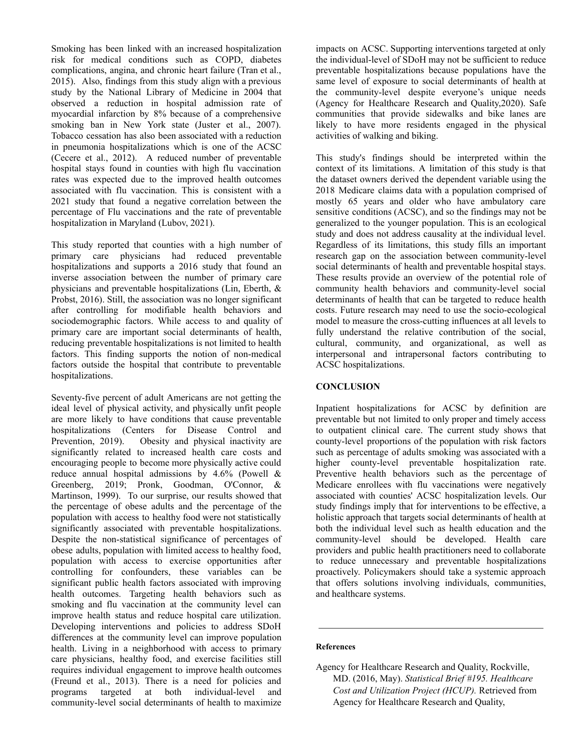Smoking has been linked with an increased hospitalization risk for medical conditions such as COPD, diabetes complications, angina, and chronic heart failure (Tran et al., 2015). Also, findings from this study align with a previous study by the National Library of Medicine in 2004 that observed a reduction in hospital admission rate of myocardial infarction by 8% because of a comprehensive smoking ban in New York state (Juster et al., 2007). Tobacco cessation has also been associated with a reduction in pneumonia hospitalizations which is one of the ACSC (Cecere et al., 2012). A reduced number of preventable hospital stays found in counties with high flu vaccination rates was expected due to the improved health outcomes associated with flu vaccination. This is consistent with a 2021 study that found a negative correlation between the percentage of Flu vaccinations and the rate of preventable hospitalization in Maryland (Lubov, 2021).

This study reported that counties with a high number of primary care physicians had reduced preventable hospitalizations and supports a 2016 study that found an inverse association between the number of primary care physicians and preventable hospitalizations (Lin, Eberth, & Probst, 2016). Still, the association was no longer significant after controlling for modifiable health behaviors and sociodemographic factors. While access to and quality of primary care are important social determinants of health, reducing preventable hospitalizations is not limited to health factors. This finding supports the notion of non-medical factors outside the hospital that contribute to preventable hospitalizations.

Seventy-five percent of adult Americans are not getting the ideal level of physical activity, and physically unfit people are more likely to have conditions that cause preventable hospitalizations (Centers for Disease Control and Prevention, 2019). Obesity and physical inactivity are significantly related to increased health care costs and encouraging people to become more physically active could reduce annual hospital admissions by 4.6% (Powell & Greenberg, 2019; Pronk, Goodman, O'Connor, & Martinson, 1999). To our surprise, our results showed that the percentage of obese adults and the percentage of the population with access to healthy food were not statistically significantly associated with preventable hospitalizations. Despite the non-statistical significance of percentages of obese adults, population with limited access to healthy food, population with access to exercise opportunities after controlling for confounders, these variables can be significant public health factors associated with improving health outcomes. Targeting health behaviors such as smoking and flu vaccination at the community level can improve health status and reduce hospital care utilization. Developing interventions and policies to address SDoH differences at the community level can improve population health. Living in a neighborhood with access to primary care physicians, healthy food, and exercise facilities still requires individual engagement to improve health outcomes (Freund et al., 2013). There is a need for policies and programs targeted at both individual-level and community-level social determinants of health to maximize

impacts on ACSC. Supporting interventions targeted at only the individual-level of SDoH may not be sufficient to reduce preventable hospitalizations because populations have the same level of exposure to social determinants of health at the community-level despite everyone's unique needs (Agency for Healthcare Research and Quality,2020). Safe communities that provide sidewalks and bike lanes are likely to have more residents engaged in the physical activities of walking and biking.

This study's findings should be interpreted within the context of its limitations. A limitation of this study is that the dataset owners derived the dependent variable using the 2018 Medicare claims data with a population comprised of mostly 65 years and older who have ambulatory care sensitive conditions (ACSC), and so the findings may not be generalized to the younger population. This is an ecological study and does not address causality at the individual level. Regardless of its limitations, this study fills an important research gap on the association between community-level social determinants of health and preventable hospital stays. These results provide an overview of the potential role of community health behaviors and community-level social determinants of health that can be targeted to reduce health costs. Future research may need to use the socio-ecological model to measure the cross-cutting influences at all levels to fully understand the relative contribution of the social, cultural, community, and organizational, as well as interpersonal and intrapersonal factors contributing to ACSC hospitalizations.

## **CONCLUSION**

Inpatient hospitalizations for ACSC by definition are preventable but not limited to only proper and timely access to outpatient clinical care. The current study shows that county-level proportions of the population with risk factors such as percentage of adults smoking was associated with a higher county-level preventable hospitalization rate. Preventive health behaviors such as the percentage of Medicare enrollees with flu vaccinations were negatively associated with counties' ACSC hospitalization levels. Our study findings imply that for interventions to be effective, a holistic approach that targets social determinants of health at both the individual level such as health education and the community-level should be developed. Health care providers and public health practitioners need to collaborate to reduce unnecessary and preventable hospitalizations proactively. Policymakers should take a systemic approach that offers solutions involving individuals, communities, and healthcare systems.

#### **References**

Agency for Healthcare Research and Quality, Rockville, MD. (2016, May). *Statistical Brief #195. Healthcare Cost and Utilization Project (HCUP).* Retrieved from Agency for Healthcare Research and Quality,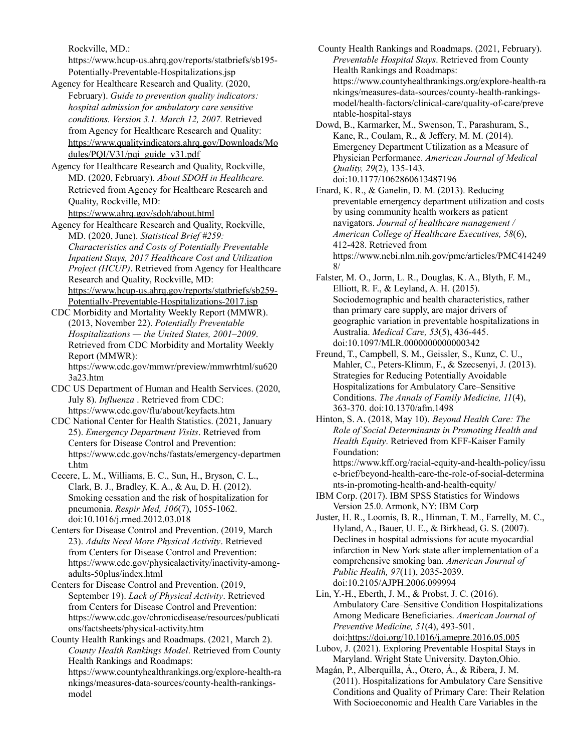Rockville, MD.:

https://www.hcup-us.ahrq.gov/reports/statbriefs/sb195- Potentially-Preventable-Hospitalizations.jsp

Agency for Healthcare Research and Quality. (2020, February). *Guide to prevention quality indicators: hospital admission for ambulatory care sensitive conditions. Version 3.1. March 12, 2007.* Retrieved from Agency for Healthcare Research and Quality: [https://www.qualityindicators.ahrq.gov/Downloads/Mo](https://www.qualityindicators.ahrq.gov/Downloads/Modules/PQI/V31/pqi_guide_v31.pdf) [dules/PQI/V31/pqi\\_guide\\_v31.pdf](https://www.qualityindicators.ahrq.gov/Downloads/Modules/PQI/V31/pqi_guide_v31.pdf)

Agency for Healthcare Research and Quality, Rockville, MD. (2020, February). *About SDOH in Healthcare.* Retrieved from Agency for Healthcare Research and Quality, Rockville, MD: <https://www.ahrq.gov/sdoh/about.html>

Agency for Healthcare Research and Quality, Rockville, MD. (2020, June). *Statistical Brief #259: Characteristics and Costs of Potentially Preventable Inpatient Stays, 2017 Healthcare Cost and Utilization Project (HCUP)*. Retrieved from Agency for Healthcare Research and Quality, Rockville, MD: [https://www.hcup-us.ahrq.gov/reports/statbriefs/sb259-](https://www.hcup-us.ahrq.gov/reports/statbriefs/sb259-Potentially-Preventable-Hospitalizations-2017.jsp) [Potentially-Preventable-Hospitalizations-2017.jsp](https://www.hcup-us.ahrq.gov/reports/statbriefs/sb259-Potentially-Preventable-Hospitalizations-2017.jsp)

- CDC Morbidity and Mortality Weekly Report (MMWR). (2013, November 22). *Potentially Preventable Hospitalizations — the United States, 2001–2009*. Retrieved from CDC Morbidity and Mortality Weekly Report (MMWR): https://www.cdc.gov/mmwr/preview/mmwrhtml/su620 3a23.htm
- CDC US Department of Human and Health Services. (2020, July 8). *Influenza* . Retrieved from CDC: https://www.cdc.gov/flu/about/keyfacts.htm
- CDC National Center for Health Statistics. (2021, January 25). *Emergency Department Visits*. Retrieved from Centers for Disease Control and Prevention: https://www.cdc.gov/nchs/fastats/emergency-departmen t.htm
- Cecere, L. M., Williams, E. C., Sun, H., Bryson, C. L., Clark, B. J., Bradley, K. A., & Au, D. H. (2012). Smoking cessation and the risk of hospitalization for pneumonia. *Respir Med, 106*(7), 1055-1062. doi:10.1016/j.rmed.2012.03.018
- Centers for Disease Control and Prevention. (2019, March 23). *Adults Need More Physical Activity*. Retrieved from Centers for Disease Control and Prevention: https://www.cdc.gov/physicalactivity/inactivity-amongadults-50plus/index.html
- Centers for Disease Control and Prevention. (2019, September 19). *Lack of Physical Activity*. Retrieved from Centers for Disease Control and Prevention: https://www.cdc.gov/chronicdisease/resources/publicati ons/factsheets/physical-activity.htm
- County Health Rankings and Roadmaps. (2021, March 2). *County Health Rankings Model*. Retrieved from County Health Rankings and Roadmaps: https://www.countyhealthrankings.org/explore-health-ra nkings/measures-data-sources/county-health-rankingsmodel

County Health Rankings and Roadmaps. (2021, February). *Preventable Hospital Stays*. Retrieved from County Health Rankings and Roadmaps: https://www.countyhealthrankings.org/explore-health-ra nkings/measures-data-sources/county-health-rankingsmodel/health-factors/clinical-care/quality-of-care/preve ntable-hospital-stays

Dowd, B., Karmarker, M., Swenson, T., Parashuram, S., Kane, R., Coulam, R., & Jeffery, M. M. (2014). Emergency Department Utilization as a Measure of Physician Performance. *American Journal of Medical Quality, 29*(2), 135-143. doi:10.1177/1062860613487196

Enard, K. R., & Ganelin, D. M. (2013). Reducing preventable emergency department utilization and costs by using community health workers as patient navigators. *Journal of healthcare management / American College of Healthcare Executives, 58*(6), 412-428. Retrieved from https://www.ncbi.nlm.nih.gov/pmc/articles/PMC414249 8/

Falster, M. O., Jorm, L. R., Douglas, K. A., Blyth, F. M., Elliott, R. F., & Leyland, A. H. (2015). Sociodemographic and health characteristics, rather than primary care supply, are major drivers of geographic variation in preventable hospitalizations in Australia. *Medical Care, 53*(5), 436-445. doi:10.1097/MLR.0000000000000342

- Freund, T., Campbell, S. M., Geissler, S., Kunz, C. U., Mahler, C., Peters-Klimm, F., & Szecsenyi, J. (2013). Strategies for Reducing Potentially Avoidable Hospitalizations for Ambulatory Care–Sensitive Conditions. *The Annals of Family Medicine, 11*(4), 363-370. doi:10.1370/afm.1498
- Hinton, S. A. (2018, May 10). *Beyond Health Care: The Role of Social Determinants in Promoting Health and Health Equity*. Retrieved from KFF-Kaiser Family Foundation:

https://www.kff.org/racial-equity-and-health-policy/issu e-brief/beyond-health-care-the-role-of-social-determina nts-in-promoting-health-and-health-equity/

- IBM Corp. (2017). IBM SPSS Statistics for Windows Version 25.0. Armonk, NY: IBM Corp
- Juster, H. R., Loomis, B. R., Hinman, T. M., Farrelly, M. C., Hyland, A., Bauer, U. E., & Birkhead, G. S. (2007). Declines in hospital admissions for acute myocardial infarction in New York state after implementation of a comprehensive smoking ban. *American Journal of Public Health, 97*(11), 2035-2039. doi:10.2105/AJPH.2006.099994

Lin, Y.-H., Eberth, J. M., & Probst, J. C. (2016). Ambulatory Care–Sensitive Condition Hospitalizations Among Medicare Beneficiaries. *American Journal of Preventive Medicine, 51*(4), 493-501. doi:<https://doi.org/10.1016/j.amepre.2016.05.005>

- Lubov, J. (2021). Exploring Preventable Hospital Stays in Maryland. Wright State University. Dayton,Ohio.
- Magán, P., Alberquilla, Á., Otero, Á., & Ribera, J. M. (2011). Hospitalizations for Ambulatory Care Sensitive Conditions and Quality of Primary Care: Their Relation With Socioeconomic and Health Care Variables in the